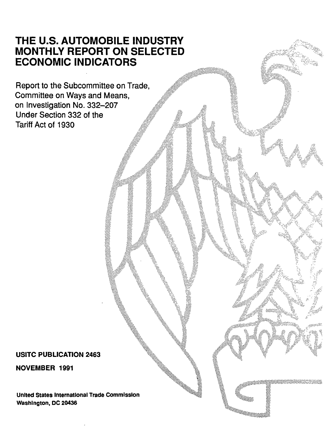# THE U.S. AUTOMOBILE INDUSTRY MONTHLY REPORT ON SELECTED ECONOMIC INDICATORS

Report to the Subcommittee on Trade, Committee on Ways and Means, on Investigation No. 332-207 Under Section 332 of the Tariff Act of 1930

USITC PUBLICATION 2463

NOVEMBER 1991

United States International Trade Commission Washington, DC 20436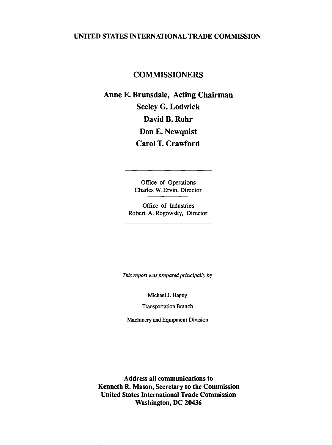### UNITED STATES INTERNATIONAL TRADE COMMISSION

## **COMMISSIONERS**

Anne E. Brunsdale, Acting Chairman Seeley G. Lodwick David B. Rohr Don E. Newquist Carol T. Crawford

> Office of Operations Charles W. Ervin, Director

Office of Industries Robert A. Rogowsky, Director

*This report was prepared principally by* 

Michael J. Hagey

Transportation Branch

Machinery and Equipment Division

Address all communications to Kenneth R. Mason, Secretary to the Commission United States International Trade Commission Washington, DC 20436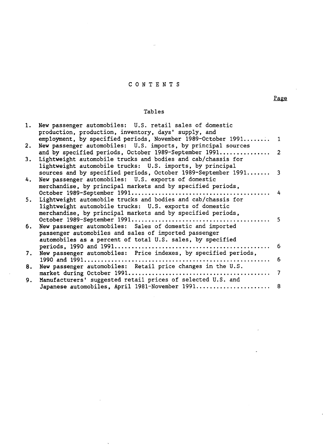## C 0 N T E N T S

 $\ddot{\phantom{a}}$ 

 $\hat{\boldsymbol{\cdot}$ 

#### Tables

| 1. | New passenger automobiles: U.S. retail sales of domestic<br>production, production, inventory, days' supply, and |     |
|----|------------------------------------------------------------------------------------------------------------------|-----|
|    | employment, by specified periods, November 1989-October 1991 1                                                   |     |
| 2. | New passenger automobiles: U.S. imports, by principal sources                                                    |     |
|    | and by specified periods, October 1989-September 1991 2                                                          |     |
| 3. | Lightweight automobile trucks and bodies and cab/chassis for                                                     |     |
|    | lightweight automobile trucks: U.S. imports, by principal                                                        |     |
|    | sources and by specified periods, October 1989-September 1991 3                                                  |     |
| 4. | New passenger automobiles: U.S. exports of domestic                                                              |     |
|    | merchandise, by principal markets and by specified periods,                                                      |     |
|    |                                                                                                                  | 4   |
| 5. | Lightweight automobile trucks and bodies and cab/chassis for                                                     |     |
|    | lightweight automobile trucks: U.S. exports of domestic                                                          |     |
|    | merchandise, by principal markets and by specified periods,                                                      |     |
|    |                                                                                                                  | - 5 |
| 6. | New passenger automobiles: Sales of domestic and imported                                                        |     |
|    | passenger automobiles and sales of imported passenger                                                            |     |
|    | automobiles as a percent of total U.S. sales, by specified                                                       |     |
|    |                                                                                                                  | - 6 |
| 7. | New passenger automobiles: Price indexes, by specified periods,                                                  |     |
|    |                                                                                                                  |     |
| 8. | New passenger automobiles: Retail price changes in the U.S.                                                      |     |
|    |                                                                                                                  | - 7 |
| 9. | Manufacturers' suggested retail prices of selected U.S. and                                                      |     |
|    | Japanese automobiles, April 1981-November 1991 8                                                                 |     |

 $\mathcal{L}$ 

 $\mathcal{L}$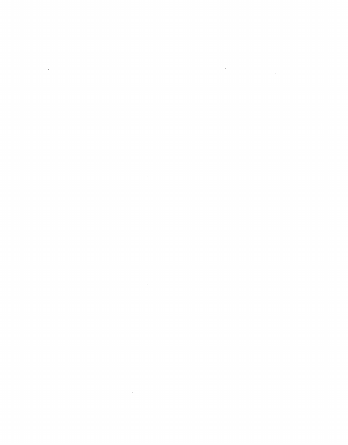$\label{eq:2.1} \frac{1}{\sqrt{2}}\int_{\mathbb{R}^3}\frac{1}{\sqrt{2}}\left(\frac{1}{\sqrt{2}}\right)^2\left(\frac{1}{\sqrt{2}}\right)^2\left(\frac{1}{\sqrt{2}}\right)^2\left(\frac{1}{\sqrt{2}}\right)^2.$ 

 $\label{eq:2.1} \frac{1}{\sqrt{2\pi}}\int_{\mathbb{R}^3}\frac{1}{\sqrt{2\pi}}\left(\frac{1}{\sqrt{2\pi}}\right)^2\frac{1}{\sqrt{2\pi}}\int_{\mathbb{R}^3}\frac{1}{\sqrt{2\pi}}\frac{1}{\sqrt{2\pi}}\frac{1}{\sqrt{2\pi}}\frac{1}{\sqrt{2\pi}}\frac{1}{\sqrt{2\pi}}\frac{1}{\sqrt{2\pi}}\frac{1}{\sqrt{2\pi}}\frac{1}{\sqrt{2\pi}}\frac{1}{\sqrt{2\pi}}\frac{1}{\sqrt{2\pi}}\frac{1}{\sqrt{2\pi}}\frac{$ 

 $\label{eq:2.1} \frac{1}{\sqrt{2}}\int_{\mathbb{R}^3}\frac{1}{\sqrt{2}}\left(\frac{1}{\sqrt{2}}\right)^2\frac{1}{\sqrt{2}}\left(\frac{1}{\sqrt{2}}\right)^2\frac{1}{\sqrt{2}}\left(\frac{1}{\sqrt{2}}\right)^2\frac{1}{\sqrt{2}}\left(\frac{1}{\sqrt{2}}\right)^2.$ 

 $\label{eq:2.1} \frac{1}{\sqrt{2}}\int_{\mathbb{R}^3}\frac{1}{\sqrt{2}}\left(\frac{1}{\sqrt{2}}\right)^2\frac{1}{\sqrt{2}}\left(\frac{1}{\sqrt{2}}\right)^2\frac{1}{\sqrt{2}}\left(\frac{1}{\sqrt{2}}\right)^2\frac{1}{\sqrt{2}}\left(\frac{1}{\sqrt{2}}\right)^2.$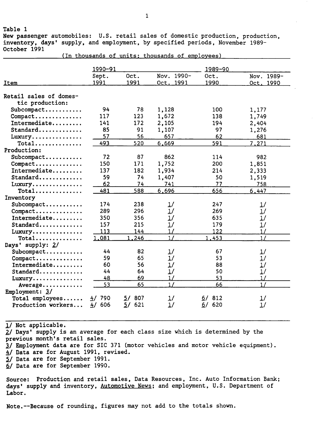New passenger automobiles: U.S. retail sales of domestic production, production, inventory, days' supply, and employment, by specified periods, November 1989-

0ctober 1991

(In thousands of units: thousands of employees)

|                        | 1990-91   |           |            | 1989-90          |             |
|------------------------|-----------|-----------|------------|------------------|-------------|
|                        | Sept.     | Oct.      | Nov. 1990- | Oct.             | Nov. 1989-  |
| <u>Item</u>            | 1991      | 1991      | Oct. 1991  | 1990             | Oct. 1990   |
| Retail sales of domes- |           |           |            |                  |             |
| tic production:        |           |           |            |                  |             |
| Subcompact             | 94        | 78        | 1,128      | 100              | 1,177       |
| $Compact \ldots $      | 117       | 123       | 1,672      | 138              | 1,749       |
| Intermediate           | 141       | 172       | 2,105      | 194              | 2,404       |
| Standard               | 85        | 91        | 1,107      | 97               | 1,276       |
| Luxury                 | 57        | 56        | 657        | 62               | 681         |
| $Total$                | 493       | 520       | 6,669      | 591              | 7,271       |
| Production:            |           |           |            |                  |             |
| Subcompact             | 72        | 87        | 862        | 114              | 982         |
| Compact                | 150       | 171       | 1,752      | 200              | 1,851       |
| Intermediate           | 137       | 182       | 1,934      | 214              | 2,333       |
| Standard               | 59        | 74        | 1,407      | 50               | 1,519       |
| Luxury                 | 62        | 74        | 741        | 77               | 758         |
| $Total$                | 481       | 588       | 6,696      | 656              | 6,447       |
| Inventory              |           |           |            |                  |             |
| Subcompact             | 174       | 238       | 1/         | 247              | 1/          |
| Compact                | 289       | 296       | 1/         | 269              | 1/          |
| Intermediate           | 350       | 356       | 1/         | 635              | 1/          |
| Standard               | 157       | 215       | 1/         | 179              | 1/          |
| Luxury                 | 113       | 144       | 11         | 122              | 1/          |
| $Total$                | 1,081     | 246       | 1/         | 1.453            | 1/          |
| Days' supply: 2/       |           |           |            |                  |             |
| Subcompact             | 44        | 82        | 1/         | 67               | <u> 1</u> / |
| Compact                | 59        | 65        | 1/         | 53               | 1/          |
| Intermediate           | 60        | 56        | 1/         | 88               | 1/          |
| Standard               | 44        | 64        | 1/         | 50               | 1/          |
| Luxury                 | 48        | 69        | 1/         | 53               | 1/          |
| Average                | 53        | 65        | 1/         | 66               | 1/          |
| Employment: $3/$       |           |           |            |                  |             |
| Total employees        | 4/790     | 807<br>57 | 1/         | 812<br>67.       | <u> 1</u> / |
| Production workers     | 606<br>4/ | 621<br>5/ | 1/         | 620<br><u>6/</u> | 1/          |

1/ Not applicable.

2/ Days' supply is an average for each class size which is determined by the previous month's retail sales.

'J./ Employment data are for SIC 371 (motor vehicles and motor vehicle equipment).

4/ Data are for August 1991, revised.

*21* Data are for September 1991.

*§./* Data are for September 1990.

Source: Production and retail sales, Data Resources, Inc. Auto Information Bank; days' supply and inventory, Automotive News; and employment, U.S. Department of Labor.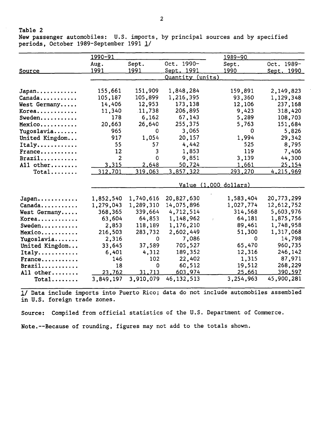New passenger automobiles: U.S. imports, by principal sources and by specified periods, October 1989-September 1991 1/

|                        | 1990-91               |             |                  | 1989-90   |                |  |  |  |
|------------------------|-----------------------|-------------|------------------|-----------|----------------|--|--|--|
|                        | Aug.                  | Sept.       | Oct. 1990-       | Sept.     | Oct. 1989-     |  |  |  |
| Source                 | 1991                  | 1991        | Sept. 1991       | 1990      | Sept. 1990     |  |  |  |
|                        |                       |             | Quantity (units) |           |                |  |  |  |
|                        |                       |             |                  |           |                |  |  |  |
| Japan                  | 155,661               | 151,909     | 1,848,284        | 159,891   | 2,149,823      |  |  |  |
| Canada                 | 105,187               | 105,899     | 1,216,395        | 93,360    | 1,129,348      |  |  |  |
| West Germany           | 14,406                | 12,953      | 173,138          | 12,106    | 237,168        |  |  |  |
| Korea                  | 11,340                | 11,738      | 206,895          | 9,423     | 318,420        |  |  |  |
| Sweden                 | 178                   | 6,162       | 67,143           | 5,289     | 108,703        |  |  |  |
| Mexico                 | 20,663                | 26,640      | 255,375          | 5,763     | 151,684        |  |  |  |
| Yugoslavia             | 965                   | 0           | 3,065            | 0         | 5,826          |  |  |  |
| United Kingdom         | 917                   | 1,054       | 20,157           | 1,994     | 29,342         |  |  |  |
| Italy                  | 55                    | 57          | 4,442            | 525       | 8,795          |  |  |  |
| France                 | 12                    | 3           | 1,853            | 119       | 7,406          |  |  |  |
| Brazil                 | $\overline{c}$        | 0           | 9,851            | 3,139     | 44,300         |  |  |  |
| All other              | 3,315                 | 2,648       | 50,724           | 1,661     | 25, 154        |  |  |  |
| $Total$                | 312,701               | 319,063     | 3,857,322        | 293,270   | 4,215,969      |  |  |  |
|                        | Value (1,000 dollars) |             |                  |           |                |  |  |  |
|                        |                       |             |                  |           |                |  |  |  |
| Japan                  | 1,852,540             | 1,740,616   | 20,827,630       | 1,583,404 | 20,773,299     |  |  |  |
| Canada                 | 1,279,043             | 1,289,310   | 14,075,896       | 1,027,774 | 12,612,752     |  |  |  |
| West Germany           | 368,365               | 339,664     | 4,712,514        | 314,568   | 5,603,976      |  |  |  |
| Korea                  | 63,604                | 64,853      | 1,148,962        | 64,181    | 1,875,756      |  |  |  |
| Sweden                 | 2,853                 | 118,189     | 1,176,210        | 89,461    | 1,748,958      |  |  |  |
| Mexico                 | 216,503               | 283,732     | 2,602,449        | 51,300    | 1,317,068      |  |  |  |
| Yugoslavia             | 2,316                 | 0           | 7,086            | 0         | 14,798         |  |  |  |
| United Kingdom         | 33,645                | 37,589      | 705,527          | 65,470    | 960,735        |  |  |  |
| Italy                  | 6,401                 | 4,312       | 189,352          | 12,316    | 246,142        |  |  |  |
| France                 | 146                   | 102         | 22,402           | 1,315     | 87,971         |  |  |  |
| $Brazil \ldots \ldots$ | 18                    | $\mathbf 0$ | 60,512           | 19,512    | 268,229        |  |  |  |
| All other              | 23.762                | 31.713      | 603,974          | 25.661    | <u>390.597</u> |  |  |  |
| $Total$                | 3,849,197             | 3,910,079   | 46, 132, 513     | 3,254,963 | 45,900,281     |  |  |  |

1/ Data include imports into Puerto Rico; data do not include automobiles assembled in U.S. foreign trade zones.

Source: Compiled from official statistics of the U.S. Department of Commerce.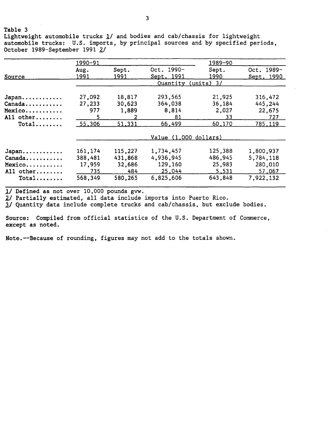Lightweight automobile trucks 1/ and bodies and cab/chassis for lightweight automobile trucks: U.S. imports, by principal sources and by specified periods, October 1989-September 1991 2/

|           | 1990-91               |         |            | 1989-90           |            |  |  |  |
|-----------|-----------------------|---------|------------|-------------------|------------|--|--|--|
|           | Aug.                  | Sept.   | Oct. 1990- | Sept.             | Oct. 1989- |  |  |  |
| Source    | 1991                  | 1991    | Sept. 1991 | 1990              | Sept. 1990 |  |  |  |
|           |                       |         | Quantity   | <u>(units) 3/</u> |            |  |  |  |
| Japan     | 27,092                | 18,817  | 293,565    | 21,925            | 316,472    |  |  |  |
| Canada    | 27,233                | 30,623  | 364,038    | 36,184            | 445.244    |  |  |  |
| Mexico    | 977                   | 1,889   | 8,814      | 2,027             | 22,675     |  |  |  |
| All other | 5.                    | 2       | 81         | 33                | 727        |  |  |  |
| $Total$   | $-55,306$             | 51,331  | 66,499     | 60,170            | 785,119    |  |  |  |
|           | Value (1,000 dollars) |         |            |                   |            |  |  |  |
| Japan     | 161,174               | 115,227 | 1,734,457  | 125,388           | 1,800,937  |  |  |  |
| Canada    | 388,481               | 431,868 | 4,936,945  | 486.945           | 5,784,118  |  |  |  |
| Mexico    | 17,959                | 32,686  | 129,160    | 25,983            | 280,010    |  |  |  |
| All other | 735                   | 484     | 25,044     | 5,531             | 57,067     |  |  |  |
| $Total$   | 568,349               | 580,265 | 6,825,606  | 643,848           | 7,922,132  |  |  |  |

1/ Defined as not over 10,000 pounds gvw.

*21* Partially estimated, all data include imports into Puerto Rico.

3/ Quantity data include complete trucks and cab/chassis, but exclude bodies.

Source: Compiled from official statistics of the U.S. Department of Commerce, except as noted.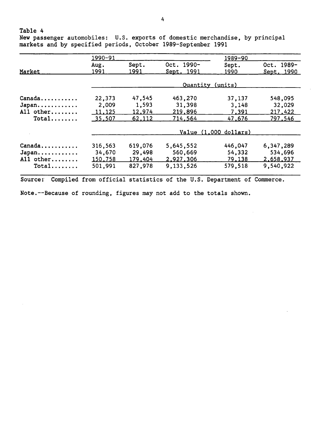New passenger automobiles: U.S. exports of domestic merchandise, by principal markets and by specified periods, October 1989-September 1991

|                | 1990-91                 |         |                  | 1989-90 |            |  |  |
|----------------|-------------------------|---------|------------------|---------|------------|--|--|
|                | Aug.                    | Sept.   | Oct. 1990-       | Sept.   | Oct. 1989- |  |  |
| Market         | 1991                    | 1991    | Sept, 1991       | 1990    | Sept, 1990 |  |  |
|                |                         |         | Quantity (units) |         |            |  |  |
| Canada         | 22,373                  | 47,545  | 463,270          | 37,137  | 548,095    |  |  |
| Japan          | 2,009                   | 1,593   | 31,398           | 3,148   | 32,029     |  |  |
| All other      | 11,125                  | 12,974  | 219,896          | 7,391   | 217,422    |  |  |
| $Total$        | 35,507                  | 62,112  | 714,564          | 47,676  | 797,546    |  |  |
|                | Value $(1,000$ dollars) |         |                  |         |            |  |  |
| Canada         | 316,563                 | 619,076 | 5,645,552        | 446,047 | 6,347,289  |  |  |
| Japan          | 34,670                  | 29,498  | 560,669          | 54,332  | 534,696    |  |  |
| All other      | 150,758                 | 179,404 | 2,927,306        | 79,138  | 2,658,937  |  |  |
| $Total \ldots$ | 501,991                 | 827,978 | 9,133,526        | 579,518 | 9,540,922  |  |  |

Source: Compiled from official statistics of the U.S. Department of Commerce.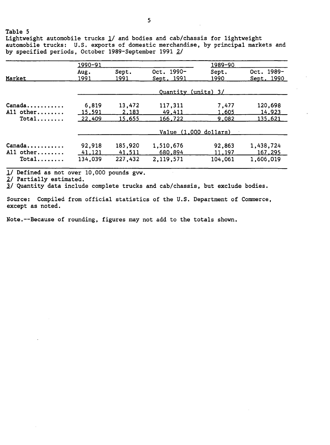Lightweight automobile trucks 1/ and bodies and cab/chassis for lightweight automobile trucks: U.S. exports of domestic merchandise, by principal markets and by specified periods, October 1989-September 1991 2/

|           | 1990-91                |         |                     | 1989-90 |            |  |  |  |  |
|-----------|------------------------|---------|---------------------|---------|------------|--|--|--|--|
|           | Aug.                   | Sept.   | Oct. 1990-          | Sept.   | Oct. 1989- |  |  |  |  |
| Market    | 1991                   | 1991    | Sept, 1991          | 1990    | Sept. 1990 |  |  |  |  |
|           |                        |         |                     |         |            |  |  |  |  |
|           |                        |         | Quantity (units) 3/ |         |            |  |  |  |  |
| Canada    | 6,819                  | 13,472  | 117,311             | 7,477   | 120,698    |  |  |  |  |
| All other | 15,591                 | 2,183   | 49.411              | 1.605   | 14,923     |  |  |  |  |
| $Total$   | 22,409                 | 15,655  | 166,722             | 9,082   | 135,621    |  |  |  |  |
|           | $Value(1,000$ dollars) |         |                     |         |            |  |  |  |  |
|           |                        |         |                     |         |            |  |  |  |  |
| Canada    | 92,918                 | 185,920 | 1,510,676           | 92,863  | 1,438,724  |  |  |  |  |
| All other | 41,121                 | 41,511  | 680,894             | 11,197  | 167,295    |  |  |  |  |
| $Total$   | 134,039                | 227,432 | 2,119,571           | 104,061 | 1,606,019  |  |  |  |  |
|           |                        |         |                     |         |            |  |  |  |  |

1/ Defined as not over 10,000 pounds gvw.

*21* Partially estimated.

l/ Quantity data include complete trucks and cab/chassis, but exclude bodies.

Source: Compiled from official statistics of the U.S. Department of Commerce, except as noted.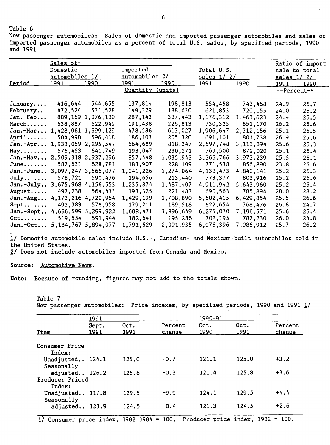New passenger automobiles: Sales of domestic and imported passenger automobiles and sales of imported passenger automobiles as a percent of total U.S. sales, by specified periods, 1990 and 1991

|                                  | <u>Sales of-</u>      |                      |                         |           |               |             |                                 |                 |
|----------------------------------|-----------------------|----------------------|-------------------------|-----------|---------------|-------------|---------------------------------|-----------------|
|                                  | Domestic              |                      | Imported                |           | Total U.S.    |             |                                 | Ratio of import |
|                                  | <u>automobiles</u> 1/ |                      |                         |           | sales 1/ 2/   |             | sale to total<br>$sales$ $1/2/$ |                 |
|                                  |                       |                      | automobiles 2/          |           |               |             |                                 |                 |
| <u>Period</u>                    | 1991                  | 1990                 | 1991                    | 1990      | <u> 1991 </u> | 1990        | 1991                            | 1990            |
|                                  |                       |                      | <u>Quantity (units)</u> |           |               |             | -- <u>Percent</u> --            |                 |
| January                          | 416,644               | 544,655              | 137,814                 | 198,813   | 554,458       | 743,468     | 24.9                            | 26.7            |
| February                         | 472,524               | 531,528              | 149,329                 | 188,630   | 621,853       | 720,155     | 24.0                            | 26.2            |
| $Jan.-Feb$                       |                       | 889, 169 1, 076, 180 | 287, 143                | 387,443   | 1,176,312     | 1,463,623   | 24.4                            | 26.5            |
| March                            | 538,887               | 622,949              | 191,438                 | 226,813   | 730,325       | 851,170     | 26.2                            | 26.6            |
| Jan.-Mar                         | 1,428,061             | 1,699,129            | 478,586                 | 613,027   | 1,906,647     | 2,312,156   | 25.1                            | 26.5            |
| April                            | 504,998               | 596,418              | 186,103                 | 205,320   | 691,101       | 801,738     | 26.9                            | 25.6            |
| $Jan.-Apr$                       | 1,933,059             | 2,295,547            | 664,689                 | 818,347   | 2,597,748     | 3, 113, 894 | 25.6                            | 26.3            |
| May                              | 576,453               | 641,749              | 193,047                 | 230,271   | 769,500       | 872,020     | 25.1                            | 26.4            |
| Jan.-May                         | 2,509,318             | 2,937,296            | 857,448                 | 1,035,943 | 3,366,766     | 3,973,239   | 25.5                            | 26.1            |
| $June \dots \dots$               | 587,631               | 628,781              | 183,907                 | 228,109   | 771,538       | 856,890     | 23.8                            | 26.6            |
| Jan.-June 3,097,247 3,566,077    |                       |                      | 1,041,226               | 1,274,064 | 4,138,473     | 4,840,141   | 25.2                            | 26.3            |
| July                             | 578,721               | 590,476              | 194,656                 | 213,440   | 773,377       | 803,916     | 25.2                            | 26.6            |
| Jan.-July 3,675,968 4,156,553    |                       |                      | 1,235,874               | 1,487,407 | 4,911,942     | 5,643,960   | 25.2                            | 26.4            |
| August                           | 497,238               | 564,411              | 193,325                 | 221,483   | 690,563       | 785,894     | 28.0                            | 28.2            |
| Jan.-Aug 4, 173, 216 4, 720, 964 |                       |                      | 1,429,199               | 1,708,890 | 5,602,415     | 6,429,854   | 25.5                            | 26.6            |
| Sept.                            | 493,383               | 578,958              | 179,211                 | 189,518   | 622,654       | 768,476     | 26.6                            | 24.7            |
| Jan.-Sept 4,666,599 5,299,922    |                       |                      | 1,608,471               | 1,896,649 | 6,275,070     | 7,196,571   | 25.6                            | 26.4            |
| $0$ ct                           | 519,554               | 591,944              | 182,641                 | 195,286   | 702,195       | 787,230     | 26.0                            | 24.8            |
| Jan.-Oct 5, 184, 767 5, 894, 977 |                       |                      | 1,791,629               | 2,091,935 | 6,976,396     | 7,986,912   | 25.7                            | 26.2            |

ll Domestic automobile sales include U.S.-, Canadian- and Mexican-built automobiles sold in the United States.

*21* Does not include automobiles imported from Canada and Mexico.

Source: Automotive News.

Table 7

Note: Because of rounding, figures may not add to the totals shown.

|                                             | <u> 1991</u>  |              |                   | 1990-91      |              |                   |
|---------------------------------------------|---------------|--------------|-------------------|--------------|--------------|-------------------|
| <u>Item</u>                                 | Sept.<br>1991 | Oct.<br>1991 | Percent<br>change | Oct.<br>1990 | Oct.<br>1991 | Percent<br>change |
| Consumer Price<br>Index:                    |               |              |                   |              |              |                   |
| Unadjusted 124.1<br>Seasonally              |               | 125.0        | $+0.7$            | 121.1        | 125.0        | $+3.2$            |
| adjusted 126.2<br>Producer Priced<br>Index: |               | 125.8        | $-0.3$            | 121.4        | 125.8        | $+3.6$            |
| Unadjusted 117.8<br>Seasonally              |               | 129.5        | $+9.9$            | 124.1        | 129.5        | $+4.4$            |
| adjusted 123.9                              |               | 124.5        | $+0.4$            | 121.3        | 124.5        | $+2.6$            |

1/ Consumer price index,  $1982-1984 = 100$ . Producer price index,  $1982 = 100$ .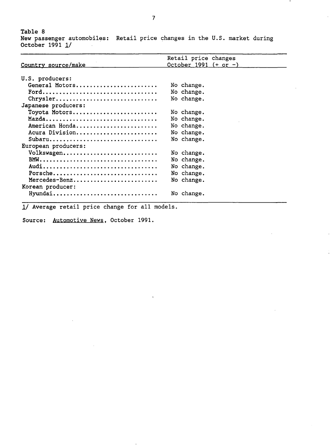New passenger automobiles: Retail price changes in the U.S. market during October 1991 <u>1</u>/

|                                                                                  | Retail price changes    |
|----------------------------------------------------------------------------------|-------------------------|
| Country source/make                                                              | October 1991 $(+ or -)$ |
| U.S. producers:                                                                  |                         |
| General Motors                                                                   | No change.              |
| Ford                                                                             | No change.              |
| Chrysler                                                                         | No change.              |
| Japanese producers:                                                              |                         |
| Toyota Motors                                                                    | No change.              |
| Mazda                                                                            | No change.              |
| American Honda                                                                   | No change.              |
| Acura Division                                                                   | No change.              |
| $Subaru, \ldots, \ldots, \ldots, \ldots, \ldots, \ldots, \ldots, \ldots, \ldots$ | No change.              |
| European producers:                                                              |                         |
| Volkswagen                                                                       | No change.              |
|                                                                                  | No change.              |
| Audi                                                                             | No change.              |
| Porsche                                                                          | No change.              |
| Mercedes-Benz                                                                    | No change.              |
| Korean producer:                                                                 |                         |
| Hyundai                                                                          | No change.              |

1/ Average retail price change for all models.

Source: Automotive News, October 1991.